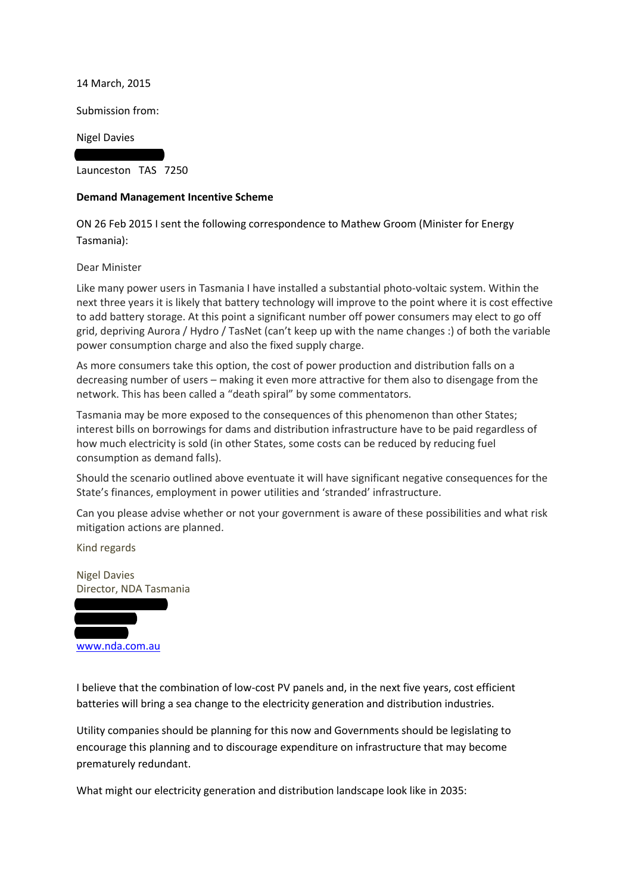14 March, 2015

Submission from:

13 Wellington Street

Nigel Davies

Launceston TAS 7250

## **Demand Management Incentive Scheme**

ON 26 Feb 2015 I sent the following correspondence to Mathew Groom (Minister for Energy Tasmania):

## Dear Minister

Like many power users in Tasmania I have installed a substantial photo-voltaic system. Within the next three years it is likely that battery technology will improve to the point where it is cost effective to add battery storage. At this point a significant number off power consumers may elect to go off grid, depriving Aurora / Hydro / TasNet (can't keep up with the name changes :) of both the variable power consumption charge and also the fixed supply charge.

As more consumers take this option, the cost of power production and distribution falls on a decreasing number of users – making it even more attractive for them also to disengage from the network. This has been called a "death spiral" by some commentators.

Tasmania may be more exposed to the consequences of this phenomenon than other States; interest bills on borrowings for dams and distribution infrastructure have to be paid regardless of how much electricity is sold (in other States, some costs can be reduced by reducing fuel consumption as demand falls).

Should the scenario outlined above eventuate it will have significant negative consequences for the State's finances, employment in power utilities and 'stranded' infrastructure.

Can you please advise whether or not your government is aware of these possibilities and what risk mitigation actions are planned.

Kind regards

Nigel Davies Director, NDA Tasmania



I believe that the combination of low-cost PV panels and, in the next five years, cost efficient batteries will bring a sea change to the electricity generation and distribution industries.

Utility companies should be planning for this now and Governments should be legislating to encourage this planning and to discourage expenditure on infrastructure that may become prematurely redundant.

What might our electricity generation and distribution landscape look like in 2035: